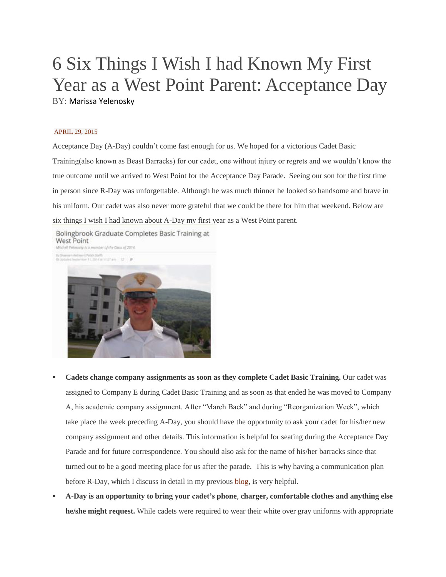## 6 Six Things I Wish I had Known My First Year as a West Point Parent: Acceptance Day BY: Marissa Yelenosky

## [APRIL](http://www.mybilingualproductions.com/2015/04/6-six-things-i-wish-i-had-known-my-first-year-as-a-west-point-parent-acceptance-day/) 29, 2015

Acceptance Day (A-Day) couldn't come fast enough for us. We hoped for a victorious Cadet Basic Training(also known as Beast Barracks) for our cadet, one without injury or regrets and we wouldn't know the true outcome until we arrived to West Point for the Acceptance Day Parade. Seeing our son for the first time in person since R-Day was unforgettable. Although he was much thinner he looked so handsome and brave in his uniform. Our cadet was also never more grateful that we could be there for him that weekend. Below are six things I wish I had known about A-Day my first year as a West Point parent.

Bolingbrook Graduate Completes Basic Training at West Point Mitchell Yelenosky is a member of the Class of 2014. man Antimat (Patch SGAT)<br>and September 11, 2014 at 11:27 Am  $12 - 9$ 

- **Cadets change company assignments as soon as they complete Cadet Basic Training.** Our cadet was assigned to Company E during Cadet Basic Training and as soon as that ended he was moved to Company A, his academic company assignment. After "March Back" and during "Reorganization Week", which take place the week preceding A-Day, you should have the opportunity to ask your cadet for his/her new company assignment and other details. This information is helpful for seating during the Acceptance Day Parade and for future correspondence. You should also ask for the name of his/her barracks since that turned out to be a good meeting place for us after the parade. This is why having a communication plan before R-Day, which I discuss in detail in my previous [blog,](http://www.mybilingualproductions.com/2015/03/10-things-i-wish-i-had-known-my-first-year-as-a-west-point-parent-reception-day-r-day/) is very helpful.
- **A-Day is an opportunity to bring your cadet's phone**, **charger, comfortable clothes and anything else he/she might request.** While cadets were required to wear their white over gray uniforms with appropriate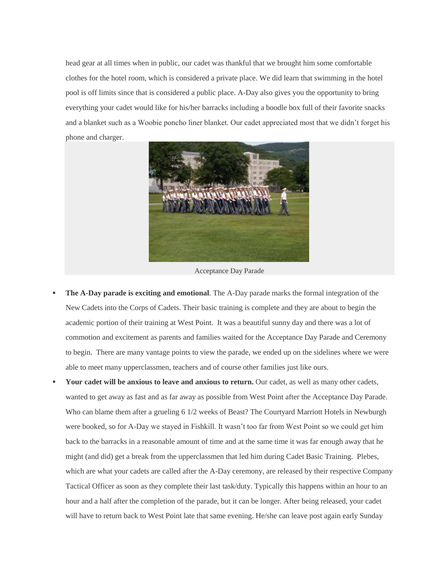head gear at all times when in public, our cadet was thankful that we brought him some comfortable clothes for the hotel room, which is considered a private place. We did learn that swimming in the hotel pool is off limits since that is considered a public place. A-Day also gives you the opportunity to bring everything your cadet would like for his/her barracks including a boodle box full of their favorite snacks and a blanket such as a Woobie poncho liner blanket. Our cadet appreciated most that we didn't forget his phone and charger.



Acceptance Day Parade

- **The A-Day parade is exciting and emotional.** The A-Day parade marks the formal integration of the New Cadets into the Corps of Cadets. Their basic training is complete and they are about to begin the academic portion of their training at West Point. It was a beautiful sunny day and there was a lot of commotion and excitement as parents and families waited for the Acceptance Day Parade and Ceremony to begin. There are many vantage points to view the parade, we ended up on the sidelines where we were able to meet many upperclassmen, teachers and of course other families just like ours.
- **Your cadet will be anxious to leave and anxious to return.** Our cadet, as well as many other cadets, wanted to get away as fast and as far away as possible from West Point after the Acceptance Day Parade. Who can blame them after a grueling 6 1/2 weeks of Beast? The Courtyard Marriott Hotels in Newburgh were booked, so for A-Day we stayed in Fishkill. It wasn't too far from West Point so we could get him back to the barracks in a reasonable amount of time and at the same time it was far enough away that he might (and did) get a break from the upperclassmen that led him during Cadet Basic Training. Plebes, which are what your cadets are called after the A-Day ceremony, are released by their respective Company Tactical Officer as soon as they complete their last task/duty. Typically this happens within an hour to an hour and a half after the completion of the parade, but it can be longer. After being released, your cadet will have to return back to West Point late that same evening. He/she can leave post again early Sunday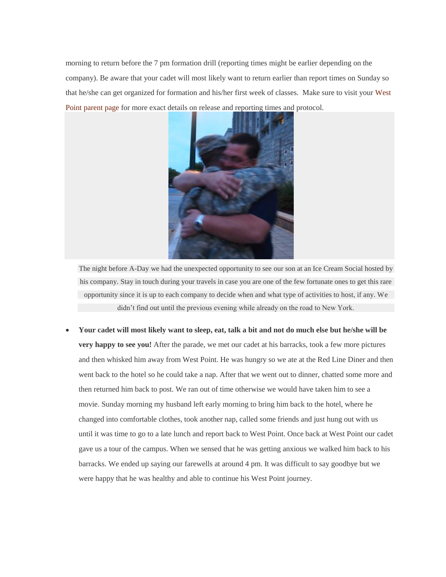morning to return before the 7 pm formation drill (reporting times might be earlier depending on the company). Be aware that your cadet will most likely want to return earlier than report times on Sunday so that he/she can get organized for formation and his/her first week of classes. Make sure to visit your [West](http://www.westpoint.edu/Parents/SitePages/Home.aspx) Point [parent](http://www.westpoint.edu/Parents/SitePages/Home.aspx) page for more exact details on release and reporting times and protocol.



The night before A-Day we had the unexpected opportunity to see our son at an Ice Cream Social hosted by his company. Stay in touch during your travels in case you are one of the few fortunate ones to get this rare opportunity since it is up to each company to decide when and what type of activities to host, if any. We didn't find out until the previous evening while already on the road to New York.

Your cadet will most likely want to sleep, eat, talk a bit and not do much else but he/she will be **very happy to see you!** After the parade, we met our cadet at his barracks, took a few more pictures and then whisked him away from West Point. He was hungry so we ate at the Red Line Diner and then went back to the hotel so he could take a nap. After that we went out to dinner, chatted some more and then returned him back to post. We ran out of time otherwise we would have taken him to see a movie. Sunday morning my husband left early morning to bring him back to the hotel, where he changed into comfortable clothes, took another nap, called some friends and just hung out with us until it was time to go to a late lunch and report back to West Point. Once back at West Point our cadet gave us a tour of the campus. When we sensed that he was getting anxious we walked him back to his barracks. We ended up saying our farewells at around 4 pm. It was difficult to say goodbye but we were happy that he was healthy and able to continue his West Point journey.